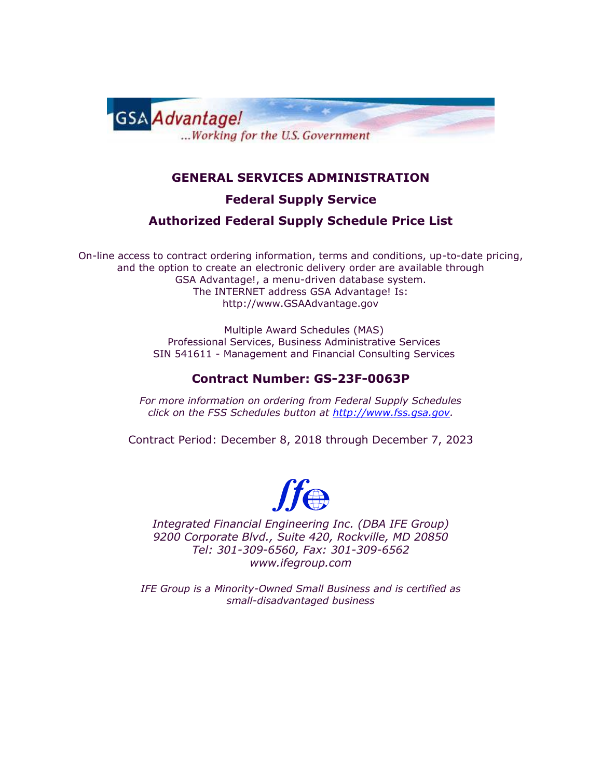

### **GENERAL SERVICES ADMINISTRATION**

**Federal Supply Service**

#### **Authorized Federal Supply Schedule Price List**

On-line access to contract ordering information, terms and conditions, up-to-date pricing, and the option to create an electronic delivery order are available through GSA Advantage!, a menu-driven database system. The INTERNET address GSA Advantage! Is: http://www.GSAAdvantage.gov

> Multiple Award Schedules (MAS) Professional Services, Business Administrative Services SIN 541611 - Management and Financial Consulting Services

#### **Contract Number: GS-23F-0063P**

*For more information on ordering from Federal Supply Schedules click on the FSS Schedules button at [http://www.fss.gsa.gov.](http://www.fss.gsa.gov/)* 

Contract Period: December 8, 2018 through December 7, 2023



*Integrated Financial Engineering Inc. (DBA IFE Group) 9200 Corporate Blvd., Suite 420, Rockville, MD 20850 Tel: 301-309-6560, Fax: 301-309-6562 www.ifegroup.com*

*IFE Group is a Minority-Owned Small Business and is certified as small-disadvantaged business*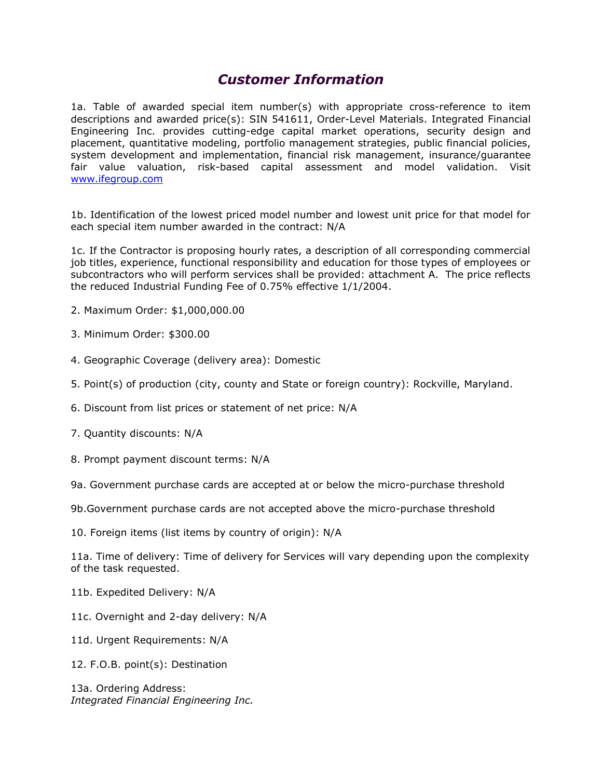### *Customer Information*

1a. Table of awarded special item number(s) with appropriate cross-reference to item descriptions and awarded price(s): SIN 541611, Order-Level Materials. Integrated Financial Engineering Inc. provides cutting-edge capital market operations, security design and placement, quantitative modeling, portfolio management strategies, public financial policies, system development and implementation, financial risk management, insurance/guarantee fair value valuation, risk-based capital assessment and model validation. Visit [www.ifegroup.com](http://www.ifegroup.com/)

1b. Identification of the lowest priced model number and lowest unit price for that model for each special item number awarded in the contract: N/A

1c. If the Contractor is proposing hourly rates, a description of all corresponding commercial job titles, experience, functional responsibility and education for those types of employees or subcontractors who will perform services shall be provided: attachment A. The price reflects the reduced Industrial Funding Fee of 0.75% effective 1/1/2004.

- 2. Maximum Order: \$1,000,000.00
- 3. Minimum Order: \$300.00
- 4. Geographic Coverage (delivery area): Domestic
- 5. Point(s) of production (city, county and State or foreign country): Rockville, Maryland.
- 6. Discount from list prices or statement of net price: N/A
- 7. Quantity discounts: N/A
- 8. Prompt payment discount terms: N/A

9a. Government purchase cards are accepted at or below the micro-purchase threshold

- 9b.Government purchase cards are not accepted above the micro-purchase threshold
- 10. Foreign items (list items by country of origin): N/A

11a. Time of delivery: Time of delivery for Services will vary depending upon the complexity of the task requested.

- 11b. Expedited Delivery: N/A
- 11c. Overnight and 2-day delivery: N/A
- 11d. Urgent Requirements: N/A
- 12. F.O.B. point(s): Destination

13a. Ordering Address: *Integrated Financial Engineering Inc.*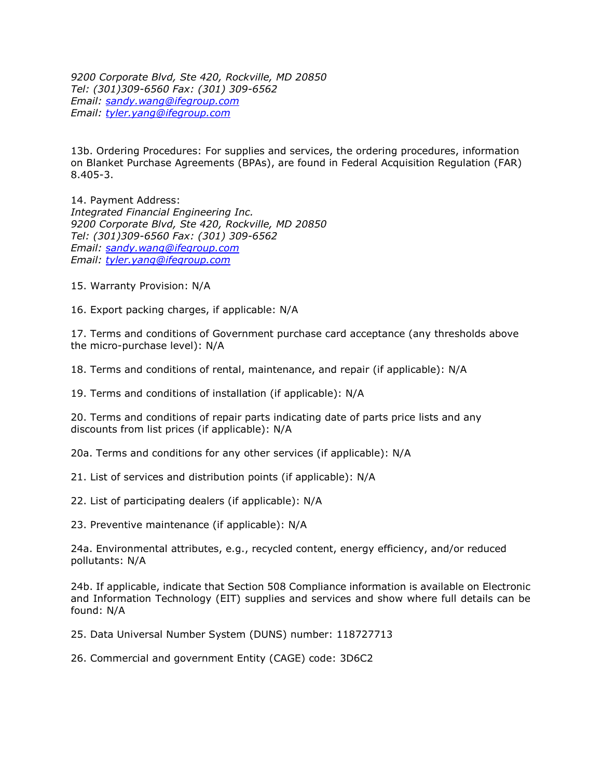*9200 Corporate Blvd, Ste 420, Rockville, MD 20850 Tel: (301)309-6560 Fax: (301) 309-6562 Email: [sandy.wang@ifegroup.com](mailto:sandy.wang@ifegroup.com) Email: [tyler.yang@ifegroup.com](mailto:tyler.yang@ifegroup.com)*

13b. Ordering Procedures: For supplies and services, the ordering procedures, information on Blanket Purchase Agreements (BPAs), are found in Federal Acquisition Regulation (FAR) 8.405-3.

14. Payment Address: *Integrated Financial Engineering Inc. 9200 Corporate Blvd, Ste 420, Rockville, MD 20850 Tel: (301)309-6560 Fax: (301) 309-6562 Email: [sandy.wang@ifegroup.com](mailto:sandy.wang@ifegroup.com) Email: [tyler.yang@ifegroup.com](mailto:tyler.yang@ifegroup.com)*

15. Warranty Provision: N/A

16. Export packing charges, if applicable: N/A

17. Terms and conditions of Government purchase card acceptance (any thresholds above the micro-purchase level): N/A

18. Terms and conditions of rental, maintenance, and repair (if applicable): N/A

19. Terms and conditions of installation (if applicable): N/A

20. Terms and conditions of repair parts indicating date of parts price lists and any discounts from list prices (if applicable): N/A

20a. Terms and conditions for any other services (if applicable): N/A

21. List of services and distribution points (if applicable): N/A

22. List of participating dealers (if applicable): N/A

23. Preventive maintenance (if applicable): N/A

24a. Environmental attributes, e.g., recycled content, energy efficiency, and/or reduced pollutants: N/A

24b. If applicable, indicate that Section 508 Compliance information is available on Electronic and Information Technology (EIT) supplies and services and show where full details can be found: N/A

25. Data Universal Number System (DUNS) number: 118727713

26. Commercial and government Entity (CAGE) code: 3D6C2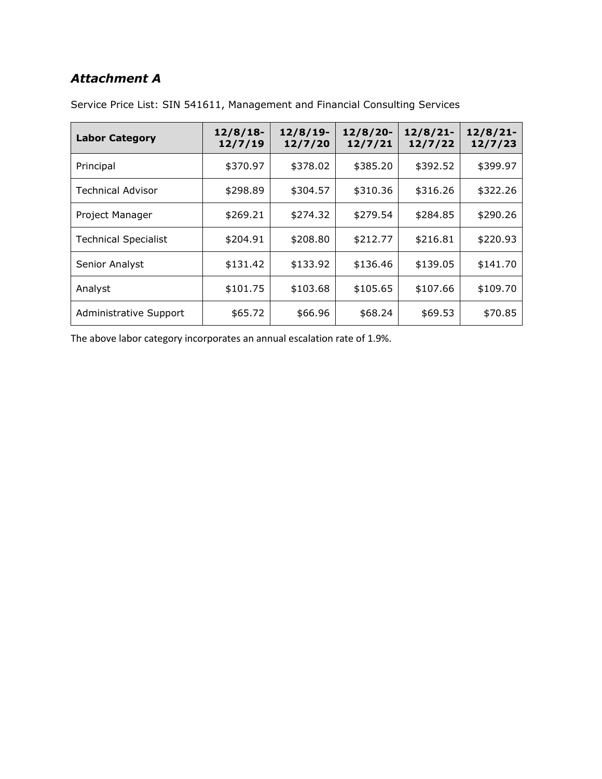## *Attachment A*

| <b>Labor Category</b>       | $12/8/18$ -<br>12/7/19 | $12/8/19$ -<br>12/7/20 | $12/8/20$ -<br>12/7/21 | $12/8/21$ -<br>12/7/22 | $12/8/21$ -<br>12/7/23 |
|-----------------------------|------------------------|------------------------|------------------------|------------------------|------------------------|
| Principal                   | \$370.97               | \$378.02               | \$385.20               | \$392.52               | \$399.97               |
| <b>Technical Advisor</b>    | \$298.89               | \$304.57               | \$310.36               | \$316.26               | \$322.26               |
| Project Manager             | \$269.21               | \$274.32               | \$279.54               | \$284.85               | \$290.26               |
| <b>Technical Specialist</b> | \$204.91               | \$208.80               | \$212.77               | \$216.81               | \$220.93               |
| Senior Analyst              | \$131.42               | \$133.92               | \$136.46               | \$139.05               | \$141.70               |
| Analyst                     | \$101.75               | \$103.68               | \$105.65               | \$107.66               | \$109.70               |
| Administrative Support      | \$65.72                | \$66.96                | \$68.24                | \$69.53                | \$70.85                |

Service Price List: SIN 541611, Management and Financial Consulting Services

The above labor category incorporates an annual escalation rate of 1.9%.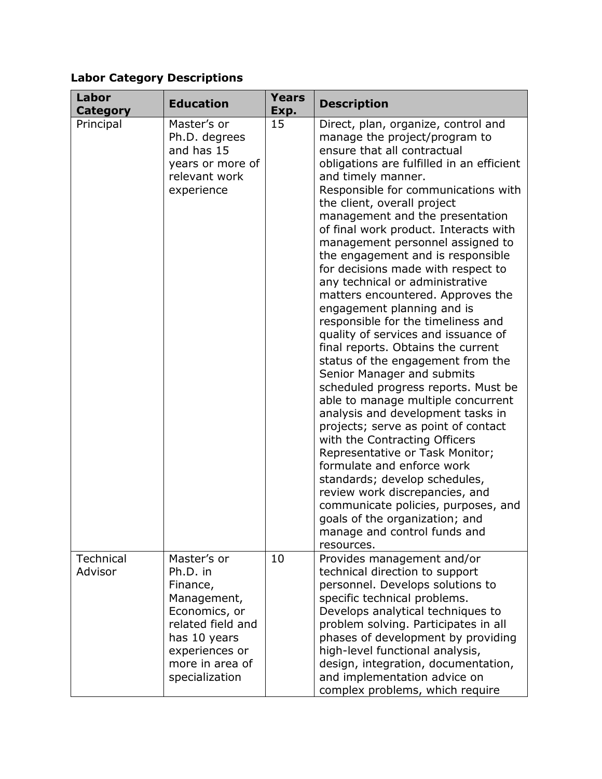# **Labor Category Descriptions**

| <b>Labor</b><br><b>Category</b> | <b>Education</b>                                                                                                                                                | <b>Years</b><br>Exp. | <b>Description</b>                                                                                                                                                                                                                                                                                                                                                                                                                                                                                                                                                                                                                                                                                                                                                                                                                                                                                                                                                                                                                                                                                                                                                                       |
|---------------------------------|-----------------------------------------------------------------------------------------------------------------------------------------------------------------|----------------------|------------------------------------------------------------------------------------------------------------------------------------------------------------------------------------------------------------------------------------------------------------------------------------------------------------------------------------------------------------------------------------------------------------------------------------------------------------------------------------------------------------------------------------------------------------------------------------------------------------------------------------------------------------------------------------------------------------------------------------------------------------------------------------------------------------------------------------------------------------------------------------------------------------------------------------------------------------------------------------------------------------------------------------------------------------------------------------------------------------------------------------------------------------------------------------------|
| Principal                       | Master's or<br>Ph.D. degrees<br>and has 15<br>years or more of<br>relevant work<br>experience                                                                   | 15                   | Direct, plan, organize, control and<br>manage the project/program to<br>ensure that all contractual<br>obligations are fulfilled in an efficient<br>and timely manner.<br>Responsible for communications with<br>the client, overall project<br>management and the presentation<br>of final work product. Interacts with<br>management personnel assigned to<br>the engagement and is responsible<br>for decisions made with respect to<br>any technical or administrative<br>matters encountered. Approves the<br>engagement planning and is<br>responsible for the timeliness and<br>quality of services and issuance of<br>final reports. Obtains the current<br>status of the engagement from the<br>Senior Manager and submits<br>scheduled progress reports. Must be<br>able to manage multiple concurrent<br>analysis and development tasks in<br>projects; serve as point of contact<br>with the Contracting Officers<br>Representative or Task Monitor;<br>formulate and enforce work<br>standards; develop schedules,<br>review work discrepancies, and<br>communicate policies, purposes, and<br>goals of the organization; and<br>manage and control funds and<br>resources. |
| Technical<br>Advisor            | Master's or<br>Ph.D. in<br>Finance,<br>Management,<br>Economics, or<br>related field and<br>has 10 years<br>experiences or<br>more in area of<br>specialization | 10                   | Provides management and/or<br>technical direction to support<br>personnel. Develops solutions to<br>specific technical problems.<br>Develops analytical techniques to<br>problem solving. Participates in all<br>phases of development by providing<br>high-level functional analysis,<br>design, integration, documentation,<br>and implementation advice on<br>complex problems, which require                                                                                                                                                                                                                                                                                                                                                                                                                                                                                                                                                                                                                                                                                                                                                                                         |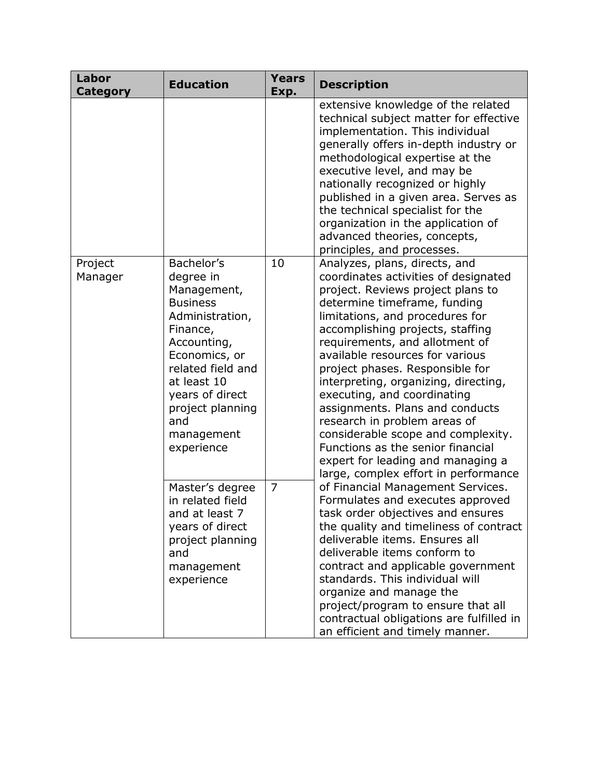| Labor<br><b>Category</b> | <b>Education</b>                                                                                                                                                                                                                       | <b>Years</b><br>Exp.                                                                                                                                                                                                                                                                                                                                                                                                                                 | <b>Description</b>                                                                                                                                                                                                                                                                                                                                                                                                                                                                                                                                                                                                          |
|--------------------------|----------------------------------------------------------------------------------------------------------------------------------------------------------------------------------------------------------------------------------------|------------------------------------------------------------------------------------------------------------------------------------------------------------------------------------------------------------------------------------------------------------------------------------------------------------------------------------------------------------------------------------------------------------------------------------------------------|-----------------------------------------------------------------------------------------------------------------------------------------------------------------------------------------------------------------------------------------------------------------------------------------------------------------------------------------------------------------------------------------------------------------------------------------------------------------------------------------------------------------------------------------------------------------------------------------------------------------------------|
|                          |                                                                                                                                                                                                                                        |                                                                                                                                                                                                                                                                                                                                                                                                                                                      | extensive knowledge of the related<br>technical subject matter for effective<br>implementation. This individual<br>generally offers in-depth industry or<br>methodological expertise at the<br>executive level, and may be<br>nationally recognized or highly<br>published in a given area. Serves as<br>the technical specialist for the<br>organization in the application of<br>advanced theories, concepts,<br>principles, and processes.                                                                                                                                                                               |
| Project<br>Manager       | Bachelor's<br>degree in<br>Management,<br><b>Business</b><br>Administration,<br>Finance,<br>Accounting,<br>Economics, or<br>related field and<br>at least 10<br>years of direct<br>project planning<br>and<br>management<br>experience | 10                                                                                                                                                                                                                                                                                                                                                                                                                                                   | Analyzes, plans, directs, and<br>coordinates activities of designated<br>project. Reviews project plans to<br>determine timeframe, funding<br>limitations, and procedures for<br>accomplishing projects, staffing<br>requirements, and allotment of<br>available resources for various<br>project phases. Responsible for<br>interpreting, organizing, directing,<br>executing, and coordinating<br>assignments. Plans and conducts<br>research in problem areas of<br>considerable scope and complexity.<br>Functions as the senior financial<br>expert for leading and managing a<br>large, complex effort in performance |
|                          | Master's degree<br>in related field<br>and at least 7<br>years of direct<br>project planning<br>and<br>management<br>experience                                                                                                        | 7<br>of Financial Management Services.<br>Formulates and executes approved<br>task order objectives and ensures<br>the quality and timeliness of contract<br>deliverable items. Ensures all<br>deliverable items conform to<br>contract and applicable government<br>standards. This individual will<br>organize and manage the<br>project/program to ensure that all<br>contractual obligations are fulfilled in<br>an efficient and timely manner. |                                                                                                                                                                                                                                                                                                                                                                                                                                                                                                                                                                                                                             |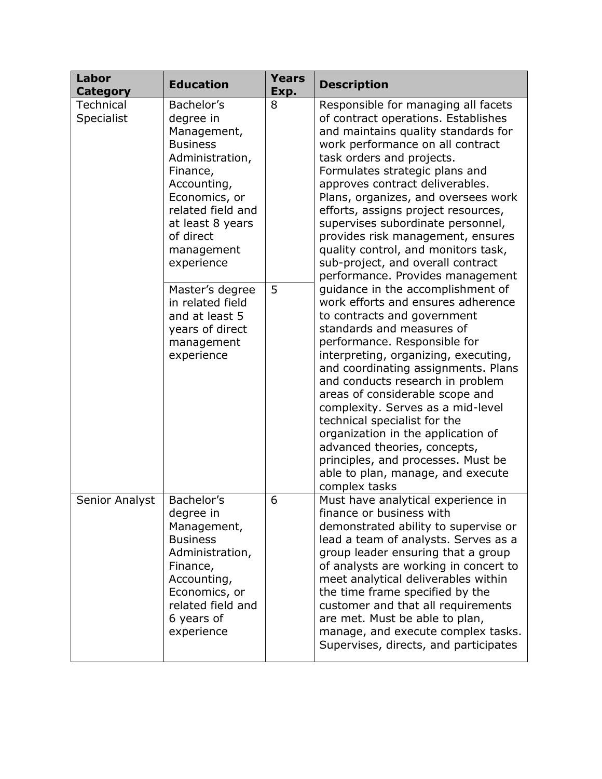| Labor<br><b>Category</b>       | <b>Education</b>                                                                                                                                                                                           | <b>Years</b><br>Exp. | <b>Description</b>                                                                                                                                                                                                                                                                                                                                                                                                                                                                                                                                               |  |
|--------------------------------|------------------------------------------------------------------------------------------------------------------------------------------------------------------------------------------------------------|----------------------|------------------------------------------------------------------------------------------------------------------------------------------------------------------------------------------------------------------------------------------------------------------------------------------------------------------------------------------------------------------------------------------------------------------------------------------------------------------------------------------------------------------------------------------------------------------|--|
| <b>Technical</b><br>Specialist | Bachelor's<br>degree in<br>Management,<br><b>Business</b><br>Administration,<br>Finance,<br>Accounting,<br>Economics, or<br>related field and<br>at least 8 years<br>of direct<br>management<br>experience | 8                    | Responsible for managing all facets<br>of contract operations. Establishes<br>and maintains quality standards for<br>work performance on all contract<br>task orders and projects.<br>Formulates strategic plans and<br>approves contract deliverables.<br>Plans, organizes, and oversees work<br>efforts, assigns project resources,<br>supervises subordinate personnel,<br>provides risk management, ensures<br>quality control, and monitors task,<br>sub-project, and overall contract<br>performance. Provides management                                  |  |
|                                | Master's degree<br>in related field<br>and at least 5<br>years of direct<br>management<br>experience                                                                                                       | 5                    | guidance in the accomplishment of<br>work efforts and ensures adherence<br>to contracts and government<br>standards and measures of<br>performance. Responsible for<br>interpreting, organizing, executing,<br>and coordinating assignments. Plans<br>and conducts research in problem<br>areas of considerable scope and<br>complexity. Serves as a mid-level<br>technical specialist for the<br>organization in the application of<br>advanced theories, concepts,<br>principles, and processes. Must be<br>able to plan, manage, and execute<br>complex tasks |  |
| Senior Analyst                 | Bachelor's<br>degree in<br>Management,<br><b>Business</b><br>Administration,<br>Finance,<br>Accounting,<br>Economics, or<br>related field and<br>6 years of<br>experience                                  | 6                    | Must have analytical experience in<br>finance or business with<br>demonstrated ability to supervise or<br>lead a team of analysts. Serves as a<br>group leader ensuring that a group<br>of analysts are working in concert to<br>meet analytical deliverables within<br>the time frame specified by the<br>customer and that all requirements<br>are met. Must be able to plan,<br>manage, and execute complex tasks.<br>Supervises, directs, and participates                                                                                                   |  |